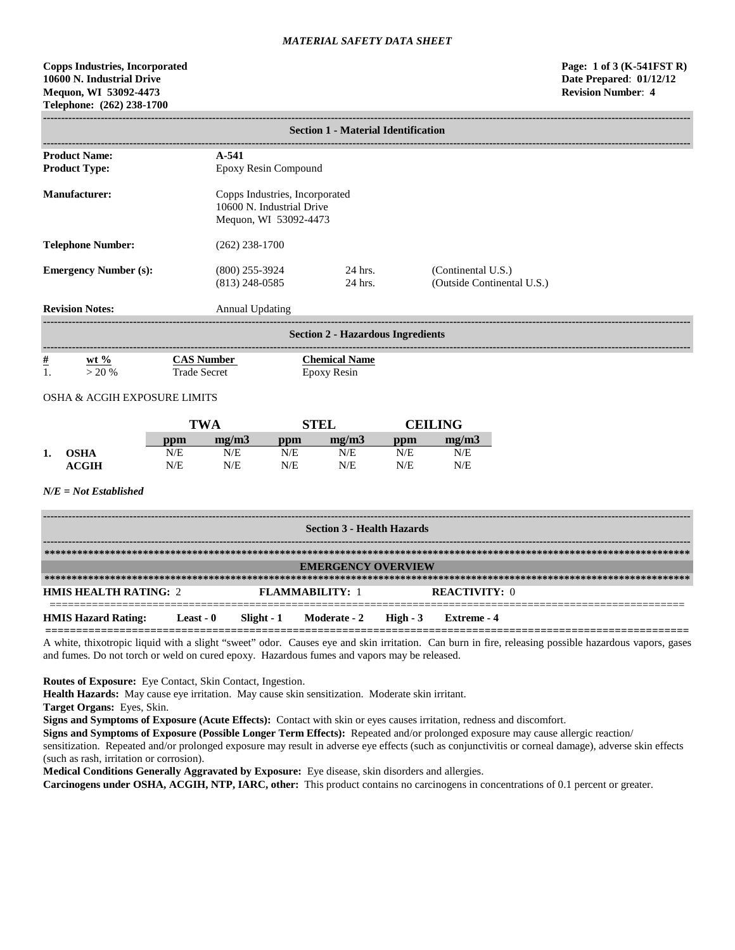# **Copps Industries, Incorporated Page: 1 of 3 (K-541FST R) 10600 N. Industrial Drive Date Prepared**: **01/12/12 Mequon, WI 53092-4473 Revision Number**: **4 Telephone: (262) 238-1700**

|                              | <b>Section 1 - Material Identification</b> |                                          |                                                                                      |                                                  |  |  |  |  |
|------------------------------|--------------------------------------------|------------------------------------------|--------------------------------------------------------------------------------------|--------------------------------------------------|--|--|--|--|
|                              | <b>Product Name:</b>                       | $A-541$                                  |                                                                                      |                                                  |  |  |  |  |
|                              | <b>Product Type:</b>                       | Epoxy Resin Compound                     |                                                                                      |                                                  |  |  |  |  |
|                              | <b>Manufacturer:</b>                       |                                          | Copps Industries, Incorporated<br>10600 N. Industrial Drive<br>Mequon, WI 53092-4473 |                                                  |  |  |  |  |
| <b>Telephone Number:</b>     |                                            | $(262)$ 238-1700                         |                                                                                      |                                                  |  |  |  |  |
| <b>Emergency Number (s):</b> |                                            | $(800)$ 255-3924<br>$(813)$ 248-0585     | 24 hrs.<br>24 hrs.                                                                   | (Continental U.S.)<br>(Outside Continental U.S.) |  |  |  |  |
| <b>Revision Notes:</b>       |                                            | Annual Updating                          |                                                                                      |                                                  |  |  |  |  |
|                              | <b>Section 2 - Hazardous Ingredients</b>   |                                          |                                                                                      |                                                  |  |  |  |  |
| <u>#</u>                     | wt $\%$<br>> 20%                           | <b>CAS Number</b><br><b>Trade Secret</b> | <b>Chemical Name</b><br>Epoxy Resin                                                  |                                                  |  |  |  |  |

# OSHA & ACGIH EXPOSURE LIMITS

|    |             | TWA |       | STEL              |       | <b>CEILING</b> |       |
|----|-------------|-----|-------|-------------------|-------|----------------|-------|
|    |             | ppm | me/m3 | $\bf{p}_{\rm{D}}$ | me/m3 | ppm            | me/m3 |
| 1. | <b>OSHA</b> | N/E | N/E   | N/E               | N/E   | N/E            | N/E   |
|    | ACGIH       | N/E | N/E   | N/E               | N/E   | N/E            | N/E   |

# *N/E = Not Established*

| <b>Section 3 - Health Hazards</b> |           |  |                                        |  |                      |  |
|-----------------------------------|-----------|--|----------------------------------------|--|----------------------|--|
|                                   |           |  |                                        |  |                      |  |
|                                   |           |  | <b>EMERGENCY OVERVIEW</b>              |  |                      |  |
|                                   |           |  |                                        |  |                      |  |
| <b>HMIS HEALTH RATING: 2</b>      |           |  | <b>FLAMMABILITY: 1</b>                 |  | <b>REACTIVITY: 0</b> |  |
| <b>HMIS Hazard Rating:</b>        | Least - 0 |  | Slight - $1$ Moderate - $2$ High - $3$ |  | Extreme - 4          |  |

A white, thixotropic liquid with a slight "sweet" odor. Causes eye and skin irritation. Can burn in fire, releasing possible hazardous vapors, gases and fumes. Do not torch or weld on cured epoxy. Hazardous fumes and vapors may be released.

**Routes of Exposure:** Eye Contact, Skin Contact, Ingestion.

**Health Hazards:** May cause eye irritation. May cause skin sensitization. Moderate skin irritant.

**Target Organs:** Eyes, Skin.

**Signs and Symptoms of Exposure (Acute Effects):** Contact with skin or eyes causes irritation, redness and discomfort.

**Signs and Symptoms of Exposure (Possible Longer Term Effects):** Repeated and/or prolonged exposure may cause allergic reaction/ sensitization. Repeated and/or prolonged exposure may result in adverse eye effects (such as conjunctivitis or corneal damage), adverse skin effects

(such as rash, irritation or corrosion).

**Medical Conditions Generally Aggravated by Exposure:** Eye disease, skin disorders and allergies.

**Carcinogens under OSHA, ACGIH, NTP, IARC, other:** This product contains no carcinogens in concentrations of 0.1 percent or greater.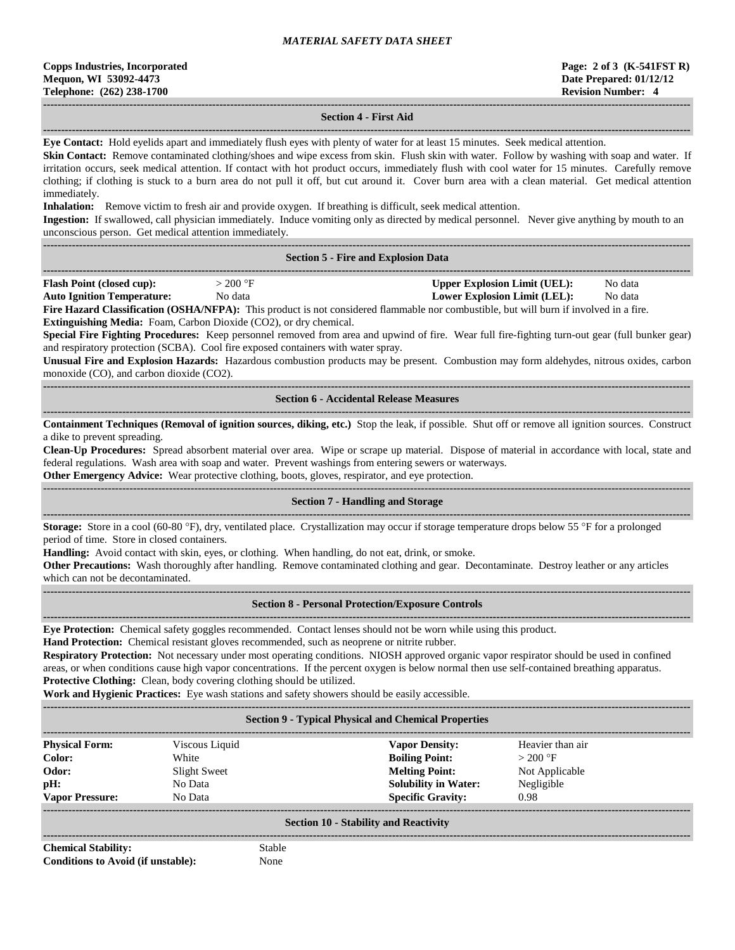#### **------------------------------------------------------------------------------------------------------------------------------------------------------------------------------------ Section 4 - First Aid**

**------------------------------------------------------------------------------------------------------------------------------------------------------------------------------------ Eye Contact:** Hold eyelids apart and immediately flush eyes with plenty of water for at least 15 minutes. Seek medical attention.

**Skin Contact:** Remove contaminated clothing/shoes and wipe excess from skin. Flush skin with water. Follow by washing with soap and water. If irritation occurs, seek medical attention. If contact with hot product occurs, immediately flush with cool water for 15 minutes. Carefully remove clothing; if clothing is stuck to a burn area do not pull it off, but cut around it. Cover burn area with a clean material. Get medical attention immediately.

**Inhalation:** Remove victim to fresh air and provide oxygen. If breathing is difficult, seek medical attention.

**Ingestion:** If swallowed, call physician immediately. Induce vomiting only as directed by medical personnel. Never give anything by mouth to an unconscious person. Get medical attention immediately.

**------------------------------------------------------------------------------------------------------------------------------------------------------------------------------------**

|  | <b>Section 5 - Fire and Explosion Data</b> |  |
|--|--------------------------------------------|--|
|  |                                            |  |

| <b>Flash Point (closed cup):</b>  | > 200 °F | Upper Explosion Limit (UEL):        | No data |  |
|-----------------------------------|----------|-------------------------------------|---------|--|
| <b>Auto Ignition Temperature:</b> | No data  | <b>Lower Explosion Limit (LEL):</b> | No data |  |
|                                   |          |                                     |         |  |

**Fire Hazard Classification (OSHA/NFPA):** This product is not considered flammable nor combustible, but will burn if involved in a fire. **Extinguishing Media:** Foam, Carbon Dioxide (CO2), or dry chemical.

**Special Fire Fighting Procedures:** Keep personnel removed from area and upwind of fire. Wear full fire-fighting turn-out gear (full bunker gear) and respiratory protection (SCBA). Cool fire exposed containers with water spray.

**Unusual Fire and Explosion Hazards:** Hazardous combustion products may be present. Combustion may form aldehydes, nitrous oxides, carbon monoxide (CO), and carbon dioxide (CO2).

#### **------------------------------------------------------------------------------------------------------------------------------------------------------------------------------------ Section 6 - Accidental Release Measures**

**------------------------------------------------------------------------------------------------------------------------------------------------------------------------------------ Containment Techniques (Removal of ignition sources, diking, etc.)** Stop the leak, if possible. Shut off or remove all ignition sources. Construct a dike to prevent spreading.

**Clean-Up Procedures:** Spread absorbent material over area. Wipe or scrape up material. Dispose of material in accordance with local, state and federal regulations. Wash area with soap and water. Prevent washings from entering sewers or waterways.

**Other Emergency Advice:** Wear protective clothing, boots, gloves, respirator, and eye protection.

# ------------------------------------------------------------------------------------------------------------------------------------------------------------------------------------

**Section 7 - Handling and Storage**

**Storage:** Store in a cool (60-80 °F), dry, ventilated place. Crystallization may occur if storage temperature drops below 55 °F for a prolonged period of time. Store in closed containers.

**Handling:** Avoid contact with skin, eyes, or clothing. When handling, do not eat, drink, or smoke.

**------------------------------------------------------------------------------------------------------------------------------------------------------------------------------------**

**Other Precautions:** Wash thoroughly after handling. Remove contaminated clothing and gear. Decontaminate. Destroy leather or any articles which can not be decontaminated.

#### **Section 8 - Personal Protection/Exposure Controls**

**------------------------------------------------------------------------------------------------------------------------------------------------------------------------------------**

**Eye Protection:** Chemical safety goggles recommended. Contact lenses should not be worn while using this product.

**Hand Protection:** Chemical resistant gloves recommended, such as neoprene or nitrite rubber.

**Respiratory Protection:** Not necessary under most operating conditions. NIOSH approved organic vapor respirator should be used in confined areas, or when conditions cause high vapor concentrations. If the percent oxygen is below normal then use self-contained breathing apparatus. **Protective Clothing:** Clean, body covering clothing should be utilized.

**Work and Hygienic Practices:** Eye wash stations and safety showers should be easily accessible.

| <b>Section 9 - Typical Physical and Chemical Properties</b> |                |                             |                  |  |  |  |
|-------------------------------------------------------------|----------------|-----------------------------|------------------|--|--|--|
| <b>Physical Form:</b>                                       | Viscous Liquid | <b>Vapor Density:</b>       | Heavier than air |  |  |  |
| Color:                                                      | White          | <b>Boiling Point:</b>       | $>200$ °F        |  |  |  |
| Odor:                                                       | Slight Sweet   | <b>Melting Point:</b>       | Not Applicable   |  |  |  |
| pH:                                                         | No Data        | <b>Solubility in Water:</b> | Negligible       |  |  |  |
| <b>Vapor Pressure:</b>                                      | No Data        | <b>Specific Gravity:</b>    | 0.98             |  |  |  |
| <b>Section 10 - Stability and Reactivity</b>                |                |                             |                  |  |  |  |

**Chemical Stability:** Stable **Conditions to Avoid (if unstable):** None

**------------------------------------------------------------------------------------------------------------------------------------------------------------------------------------**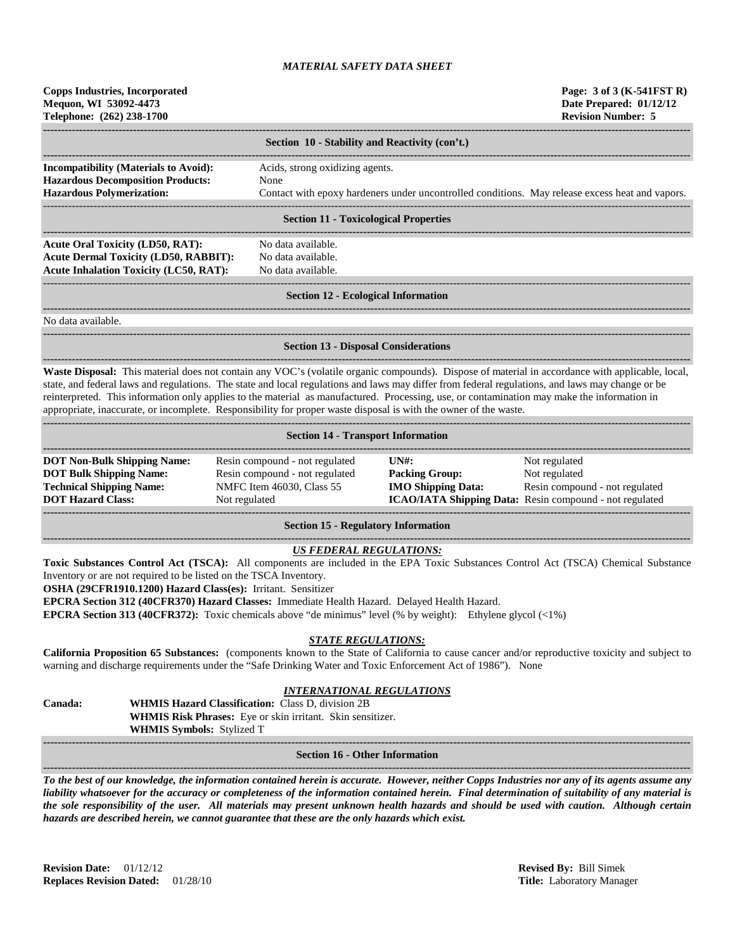| <b>Copps Industries, Incorporated</b><br>Mequon, WI 53092-4473<br>Telephone: (262) 238-1700                                                                                                                                                                                                                                                                                                                                                                                                                                                                                                                                                                                                                                                                                                                                            |                                                                                                                                                            |                                                               | Page: 3 of 3 (K-541FST R)<br>Date Prepared: 01/12/12<br><b>Revision Number: 5</b>                                           |  |  |
|----------------------------------------------------------------------------------------------------------------------------------------------------------------------------------------------------------------------------------------------------------------------------------------------------------------------------------------------------------------------------------------------------------------------------------------------------------------------------------------------------------------------------------------------------------------------------------------------------------------------------------------------------------------------------------------------------------------------------------------------------------------------------------------------------------------------------------------|------------------------------------------------------------------------------------------------------------------------------------------------------------|---------------------------------------------------------------|-----------------------------------------------------------------------------------------------------------------------------|--|--|
|                                                                                                                                                                                                                                                                                                                                                                                                                                                                                                                                                                                                                                                                                                                                                                                                                                        | Section 10 - Stability and Reactivity (con't.)                                                                                                             |                                                               |                                                                                                                             |  |  |
| <b>Incompatibility (Materials to Avoid):</b><br><b>Hazardous Decomposition Products:</b><br><b>Hazardous Polymerization:</b>                                                                                                                                                                                                                                                                                                                                                                                                                                                                                                                                                                                                                                                                                                           | Acids, strong oxidizing agents.<br>None                                                                                                                    |                                                               | Contact with epoxy hardeners under uncontrolled conditions. May release excess heat and vapors.                             |  |  |
|                                                                                                                                                                                                                                                                                                                                                                                                                                                                                                                                                                                                                                                                                                                                                                                                                                        | <b>Section 11 - Toxicological Properties</b>                                                                                                               |                                                               |                                                                                                                             |  |  |
| <b>Acute Oral Toxicity (LD50, RAT):</b><br><b>Acute Dermal Toxicity (LD50, RABBIT):</b><br><b>Acute Inhalation Toxicity (LC50, RAT):</b>                                                                                                                                                                                                                                                                                                                                                                                                                                                                                                                                                                                                                                                                                               | No data available.<br>No data available.<br>No data available.                                                                                             |                                                               |                                                                                                                             |  |  |
|                                                                                                                                                                                                                                                                                                                                                                                                                                                                                                                                                                                                                                                                                                                                                                                                                                        | <b>Section 12 - Ecological Information</b>                                                                                                                 |                                                               |                                                                                                                             |  |  |
| No data available.                                                                                                                                                                                                                                                                                                                                                                                                                                                                                                                                                                                                                                                                                                                                                                                                                     |                                                                                                                                                            |                                                               |                                                                                                                             |  |  |
|                                                                                                                                                                                                                                                                                                                                                                                                                                                                                                                                                                                                                                                                                                                                                                                                                                        | <b>Section 13 - Disposal Considerations</b>                                                                                                                |                                                               |                                                                                                                             |  |  |
| Waste Disposal: This material does not contain any VOC's (volatile organic compounds). Dispose of material in accordance with applicable, local,<br>state, and federal laws and regulations. The state and local regulations and laws may differ from federal regulations, and laws may change or be<br>reinterpreted. This information only applies to the material as manufactured. Processing, use, or contamination may make the information in<br>appropriate, inaccurate, or incomplete. Responsibility for proper waste disposal is with the owner of the waste.                                                                                                                                                                                                                                                                |                                                                                                                                                            |                                                               |                                                                                                                             |  |  |
|                                                                                                                                                                                                                                                                                                                                                                                                                                                                                                                                                                                                                                                                                                                                                                                                                                        | <b>Section 14 - Transport Information</b>                                                                                                                  |                                                               |                                                                                                                             |  |  |
| <b>DOT Non-Bulk Shipping Name:</b><br><b>DOT Bulk Shipping Name:</b><br><b>Technical Shipping Name:</b><br><b>DOT Hazard Class:</b>                                                                                                                                                                                                                                                                                                                                                                                                                                                                                                                                                                                                                                                                                                    | Resin compound - not regulated<br>Resin compound - not regulated<br>NMFC Item 46030, Class 55<br>Not regulated                                             | $UN#$ :<br><b>Packing Group:</b><br><b>IMO Shipping Data:</b> | Not regulated<br>Not regulated<br>Resin compound - not regulated<br>ICAO/IATA Shipping Data: Resin compound - not regulated |  |  |
|                                                                                                                                                                                                                                                                                                                                                                                                                                                                                                                                                                                                                                                                                                                                                                                                                                        | <b>Section 15 - Regulatory Information</b>                                                                                                                 |                                                               |                                                                                                                             |  |  |
| <b>US FEDERAL REGULATIONS:</b><br>Toxic Substances Control Act (TSCA): All components are included in the EPA Toxic Substances Control Act (TSCA) Chemical Substance<br>Inventory or are not required to be listed on the TSCA Inventory.<br>OSHA (29CFR1910.1200) Hazard Class(es): Irritant. Sensitizer<br>EPCRA Section 312 (40CFR370) Hazard Classes: Immediate Health Hazard. Delayed Health Hazard.<br><b>EPCRA Section 313 (40CFR372):</b> Toxic chemicals above "de minimus" level (% by weight): Ethylene glycol $\langle$ <1%)<br><b>STATE REGULATIONS:</b><br>California Proposition 65 Substances: (components known to the State of California to cause cancer and/or reproductive toxicity and subject to<br>warning and discharge requirements under the "Safe Drinking Water and Toxic Enforcement Act of 1986"). None |                                                                                                                                                            |                                                               |                                                                                                                             |  |  |
| Canada:<br>WHMIS Symbols: Stylized T                                                                                                                                                                                                                                                                                                                                                                                                                                                                                                                                                                                                                                                                                                                                                                                                   | <u>INTERNATIONAL REGULATIONS</u><br><b>WHMIS Hazard Classification:</b> Class D, division 2B<br>WHMIS Risk Phrases: Eye or skin irritant. Skin sensitizer. |                                                               |                                                                                                                             |  |  |
|                                                                                                                                                                                                                                                                                                                                                                                                                                                                                                                                                                                                                                                                                                                                                                                                                                        | <b>Section 16 - Other Information</b>                                                                                                                      |                                                               |                                                                                                                             |  |  |

*To the best of our knowledge, the information contained herein is accurate. However, neither Copps Industries nor any of its agents assume any liability whatsoever for the accuracy or completeness of the information contained herein. Final determination of suitability of any material is the sole responsibility of the user. All materials may present unknown health hazards and should be used with caution. Although certain hazards are described herein, we cannot guarantee that these are the only hazards which exist.*

**Revision Date:** 01/12/12 **Revised By:** Bill Simek **Replaces Revision Dated:** 01/28/10 **Title:** Laboratory Manager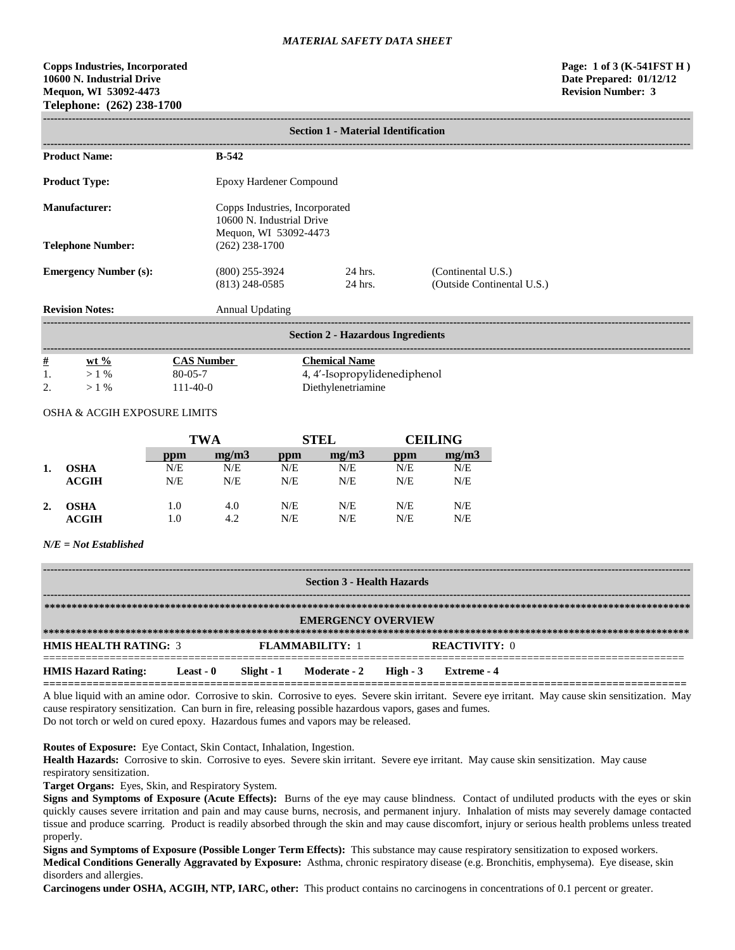**Copps Industries, Incorporated Page: 1 of 3 (K-541FST H ) 10600 N. Industrial Drive Date Prepared: 01/12/12 Mequon, WI 53092-4473 Revision Number: 3 Telephone: (262) 238-1700**

# **------------------------------------------------------------------------------------------------------------------------------------------------------------------------------------ Section 1 - Material Identification ------------------------------------------------------------------------------------------------------------------------------------------------------------------------------------** Product Name: B-542 Product Type: Epoxy Hardener Compound **Manufacturer:** Copps Industries, Incorporated 10600 N. Industrial Drive Mequon, WI 53092-4473 **Telephone Number:** (262) 238-1700 **Emergency Number (s):** (800) 255-3924 24 hrs. (Continental U.S.) (813) 248-0585 24 hrs. (Outside Continental U.S.) **Revision Notes:** Annual Updating **------------------------------------------------------------------------------------------------------------------------------------------------------------------------------------ Section 2 - Hazardous Ingredients ------------------------------------------------------------------------------------------------------------------------------------------------------------------------------------ # wt % CAS Number Chemical Name**  1. > 1 % 80-05-7 4, 4'-Isopropylidenediphenol 2.  $>1\%$  111-40-0 Diethylenetriamine

# OSHA & ACGIH EXPOSURE LIMITS

|    |              | TWA |       | <b>STEL</b> |       | CEILING |       |
|----|--------------|-----|-------|-------------|-------|---------|-------|
|    |              | ppm | mg/m3 | ppm         | mg/m3 | ppm     | mg/m3 |
|    | <b>OSHA</b>  | N/E | N/E   | N/E         | N/E   | N/E     | N/E   |
|    | <b>ACGIH</b> | N/E | N/E   | N/E         | N/E   | N/E     | N/E   |
| 2. | <b>OSHA</b>  | 1.0 | 4.0   | N/E         | N/E   | N/E     | N/E   |
|    | ACGIH        | 1.0 | 4.2   | N/E         | N/E   | N/E     | N/E   |

#### *N/E = Not Established*

| <b>Section 3 - Health Hazards</b> |           |                        |                                  |  |                      |
|-----------------------------------|-----------|------------------------|----------------------------------|--|----------------------|
| <b>EMERGENCY OVERVIEW</b>         |           |                        |                                  |  |                      |
| <b>HMIS HEALTH RATING: 3</b>      |           | <b>FLAMMARILITY: 1</b> |                                  |  | <b>REACTIVITY: 0</b> |
| <b>HMIS Hazard Rating:</b>        | Least - 0 |                        | Slight - 1 Moderate - 2 High - 3 |  | Extreme - 4          |

A blue liquid with an amine odor. Corrosive to skin. Corrosive to eyes. Severe skin irritant. Severe eye irritant. May cause skin sensitization. May cause respiratory sensitization. Can burn in fire, releasing possible hazardous vapors, gases and fumes. Do not torch or weld on cured epoxy. Hazardous fumes and vapors may be released.

**Routes of Exposure:** Eye Contact, Skin Contact, Inhalation, Ingestion.

**Health Hazards:** Corrosive to skin. Corrosive to eyes. Severe skin irritant. Severe eye irritant. May cause skin sensitization. May cause respiratory sensitization.

**Target Organs:** Eyes, Skin, and Respiratory System.

**Signs and Symptoms of Exposure (Acute Effects):** Burns of the eye may cause blindness. Contact of undiluted products with the eyes or skin quickly causes severe irritation and pain and may cause burns, necrosis, and permanent injury. Inhalation of mists may severely damage contacted tissue and produce scarring. Product is readily absorbed through the skin and may cause discomfort, injury or serious health problems unless treated properly.

**Signs and Symptoms of Exposure (Possible Longer Term Effects):** This substance may cause respiratory sensitization to exposed workers. **Medical Conditions Generally Aggravated by Exposure:** Asthma, chronic respiratory disease (e.g. Bronchitis, emphysema). Eye disease, skin disorders and allergies.

**Carcinogens under OSHA, ACGIH, NTP, IARC, other:** This product contains no carcinogens in concentrations of 0.1 percent or greater.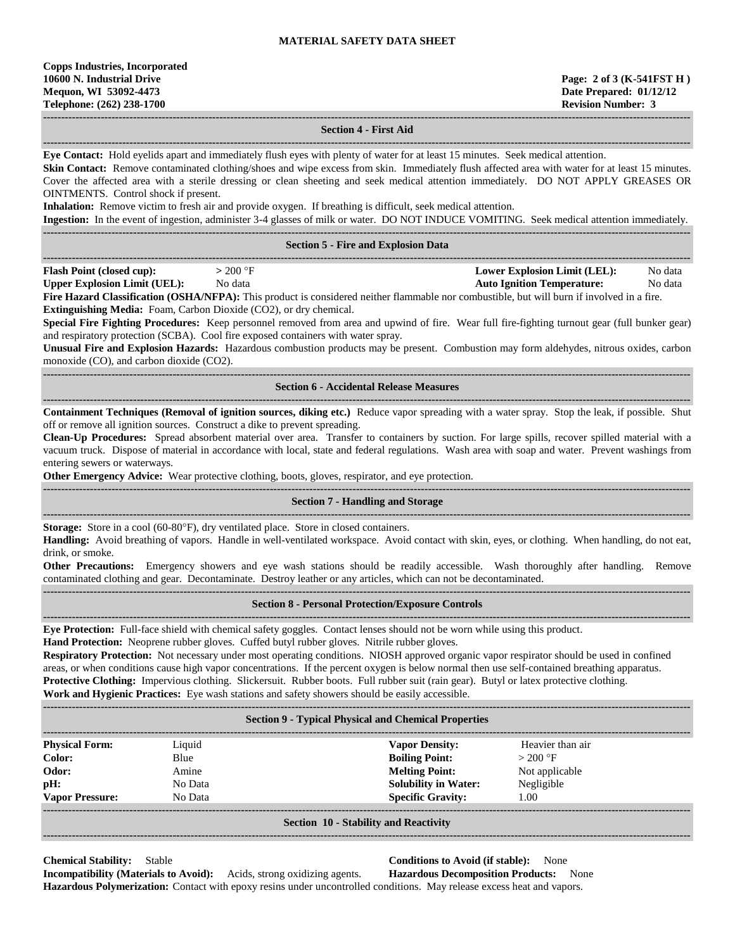**------------------------------------------------------------------------------------------------------------------------------------------------------------------------------------**

**------------------------------------------------------------------------------------------------------------------------------------------------------------------------------------**

**------------------------------------------------------------------------------------------------------------------------------------------------------------------------------------**

# **Section 4 - First Aid**

**------------------------------------------------------------------------------------------------------------------------------------------------------------------------------------ Eye Contact:** Hold eyelids apart and immediately flush eyes with plenty of water for at least 15 minutes. Seek medical attention. Skin Contact: Remove contaminated clothing/shoes and wipe excess from skin. Immediately flush affected area with water for at least 15 minutes. Cover the affected area with a sterile dressing or clean sheeting and seek medical attention immediately. DO NOT APPLY GREASES OR OINTMENTS. Control shock if present.

**Inhalation:** Remove victim to fresh air and provide oxygen. If breathing is difficult, seek medical attention. **Ingestion:** In the event of ingestion, administer 3-4 glasses of milk or water. DO NOT INDUCE VOMITING. Seek medical attention immediately. **------------------------------------------------------------------------------------------------------------------------------------------------------------------------------------**

|                                                                                                                                                   |           | <b>Section 5 - Fire and Explosion Data</b> |         |  |  |
|---------------------------------------------------------------------------------------------------------------------------------------------------|-----------|--------------------------------------------|---------|--|--|
| <b>Flash Point (closed cup):</b>                                                                                                                  | $>200$ °F | Lower Explosion Limit (LEL):               | No data |  |  |
| <b>Upper Explosion Limit (UEL):</b>                                                                                                               | No data   | <b>Auto Ignition Temperature:</b>          | No data |  |  |
| <b>Fire Hazard Classification (OSHA/NEPA)</b> : This product is considered neither flammable nor combustible, but will burn if involved in a fire |           |                                            |         |  |  |

**Fire Hazard Classification (OSHA/NFPA):** This product is considered neither flammable nor combustible, but will burn if involved in a fire. **Extinguishing Media:** Foam, Carbon Dioxide (CO2), or dry chemical.

**Special Fire Fighting Procedures:** Keep personnel removed from area and upwind of fire. Wear full fire-fighting turnout gear (full bunker gear) and respiratory protection (SCBA). Cool fire exposed containers with water spray.

**Unusual Fire and Explosion Hazards:** Hazardous combustion products may be present. Combustion may form aldehydes, nitrous oxides, carbon monoxide (CO), and carbon dioxide (CO2).

#### **Section 6 - Accidental Release Measures**

**Containment Techniques (Removal of ignition sources, diking etc.)** Reduce vapor spreading with a water spray. Stop the leak, if possible. Shut off or remove all ignition sources. Construct a dike to prevent spreading.

**------------------------------------------------------------------------------------------------------------------------------------------------------------------------------------**

**Clean-Up Procedures:** Spread absorbent material over area. Transfer to containers by suction. For large spills, recover spilled material with a vacuum truck. Dispose of material in accordance with local, state and federal regulations. Wash area with soap and water. Prevent washings from entering sewers or waterways.

**Other Emergency Advice:** Wear protective clothing, boots, gloves, respirator, and eye protection.

# **Section 7 - Handling and Storage**

**------------------------------------------------------------------------------------------------------------------------------------------------------------------------------------ Storage:** Store in a cool (60-80°F), dry ventilated place. Store in closed containers.

**Handling:** Avoid breathing of vapors. Handle in well-ventilated workspace. Avoid contact with skin, eyes, or clothing. When handling, do not eat, drink, or smoke.

**Other Precautions:** Emergency showers and eye wash stations should be readily accessible. Wash thoroughly after handling. Remove contaminated clothing and gear. Decontaminate. Destroy leather or any articles, which can not be decontaminated. **------------------------------------------------------------------------------------------------------------------------------------------------------------------------------------**

### **Section 8 - Personal Protection/Exposure Controls**

**------------------------------------------------------------------------------------------------------------------------------------------------------------------------------------**

**Eye Protection:** Full-face shield with chemical safety goggles. Contact lenses should not be worn while using this product.

**Hand Protection:** Neoprene rubber gloves. Cuffed butyl rubber gloves. Nitrile rubber gloves.

**Respiratory Protection:** Not necessary under most operating conditions. NIOSH approved organic vapor respirator should be used in confined areas, or when conditions cause high vapor concentrations. If the percent oxygen is below normal then use self-contained breathing apparatus. **Protective Clothing:** Impervious clothing. Slickersuit. Rubber boots. Full rubber suit (rain gear). Butyl or latex protective clothing. **Work and Hygienic Practices:** Eye wash stations and safety showers should be easily accessible.

| <b>Section 9 - Typical Physical and Chemical Properties</b> |         |                             |                  |  |  |  |  |
|-------------------------------------------------------------|---------|-----------------------------|------------------|--|--|--|--|
| <b>Physical Form:</b>                                       | Liquid  | <b>Vapor Density:</b>       | Heavier than air |  |  |  |  |
| Color:                                                      | Blue    | <b>Boiling Point:</b>       | $>200$ °F        |  |  |  |  |
| Odor:                                                       | Amine   | <b>Melting Point:</b>       | Not applicable   |  |  |  |  |
| pH:                                                         | No Data | <b>Solubility in Water:</b> | Negligible       |  |  |  |  |
| <b>Vapor Pressure:</b>                                      | No Data | <b>Specific Gravity:</b>    | 1.00             |  |  |  |  |
|                                                             |         |                             |                  |  |  |  |  |
| <b>Section 10 - Stability and Reactivity</b>                |         |                             |                  |  |  |  |  |

**------------------------------------------------------------------------------------------------------------------------------------------------------------------------------------**

**------------------------------------------------------------------------------------------------------------------------------------------------------------------------------------**

**Chemical Stability:** Stable **Conditions to Avoid (if stable):** None **Incompatibility (Materials to Avoid):** Acids, strong oxidizing agents. **Hazardous Decomposition Products:** None

**Hazardous Polymerization:** Contact with epoxy resins under uncontrolled conditions. May release excess heat and vapors.